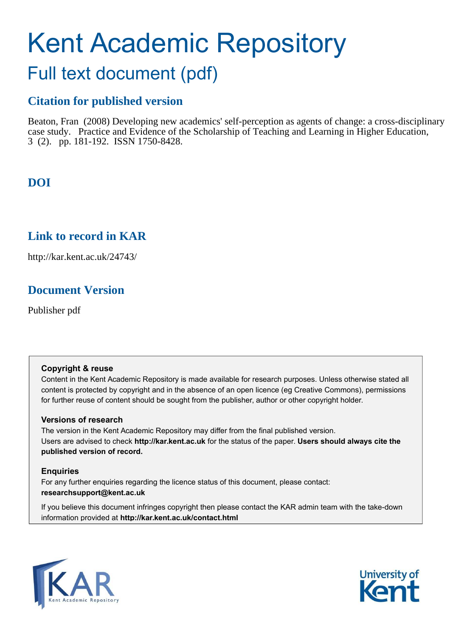# Kent Academic Repository

# Full text document (pdf)

# **Citation for published version**

Beaton, Fran (2008) Developing new academics' self-perception as agents of change: a cross-disciplinary case study. Practice and Evidence of the Scholarship of Teaching and Learning in Higher Education, 3 (2). pp. 181-192. ISSN 1750-8428.

# **DOI**

# **Link to record in KAR**

http://kar.kent.ac.uk/24743/

# **Document Version**

Publisher pdf

## **Copyright & reuse**

Content in the Kent Academic Repository is made available for research purposes. Unless otherwise stated all content is protected by copyright and in the absence of an open licence (eg Creative Commons), permissions for further reuse of content should be sought from the publisher, author or other copyright holder.

## **Versions of research**

The version in the Kent Academic Repository may differ from the final published version. Users are advised to check **http://kar.kent.ac.uk** for the status of the paper. **Users should always cite the published version of record.**

## **Enquiries**

For any further enquiries regarding the licence status of this document, please contact: **researchsupport@kent.ac.uk**

If you believe this document infringes copyright then please contact the KAR admin team with the take-down information provided at **http://kar.kent.ac.uk/contact.html**



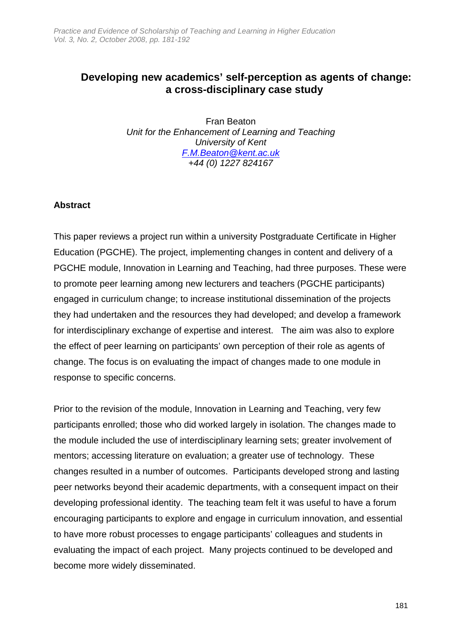# **Developing new academics' self-perception as agents of change: a cross-disciplinary case study**

Fran Beaton Unit for the Enhancement of Learning and Teaching University of Kent F.M.Beaton@kent.ac.uk +44 (0) 1227 824167

# **Abstract**

This paper reviews a project run within a university Postgraduate Certificate in Higher Education (PGCHE). The project, implementing changes in content and delivery of a PGCHE module, Innovation in Learning and Teaching, had three purposes. These were to promote peer learning among new lecturers and teachers (PGCHE participants) engaged in curriculum change; to increase institutional dissemination of the projects they had undertaken and the resources they had developed; and develop a framework for interdisciplinary exchange of expertise and interest. The aim was also to explore the effect of peer learning on participants' own perception of their role as agents of change. The focus is on evaluating the impact of changes made to one module in response to specific concerns.

Prior to the revision of the module, Innovation in Learning and Teaching, very few participants enrolled; those who did worked largely in isolation. The changes made to the module included the use of interdisciplinary learning sets; greater involvement of mentors; accessing literature on evaluation; a greater use of technology. These changes resulted in a number of outcomes. Participants developed strong and lasting peer networks beyond their academic departments, with a consequent impact on their developing professional identity. The teaching team felt it was useful to have a forum encouraging participants to explore and engage in curriculum innovation, and essential to have more robust processes to engage participants' colleagues and students in evaluating the impact of each project. Many projects continued to be developed and become more widely disseminated.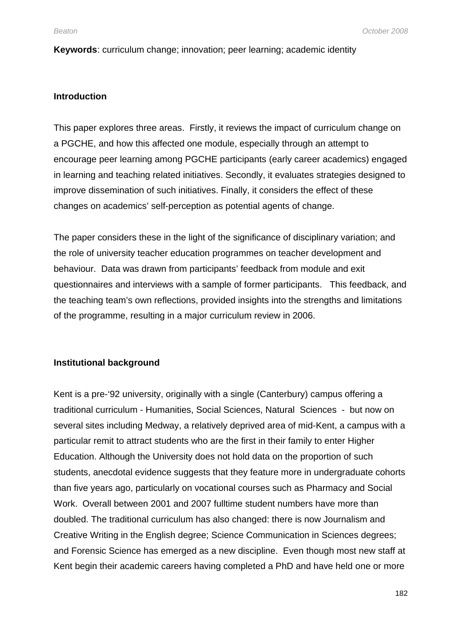**Keywords**: curriculum change; innovation; peer learning; academic identity

## **Introduction**

This paper explores three areas. Firstly, it reviews the impact of curriculum change on a PGCHE, and how this affected one module, especially through an attempt to encourage peer learning among PGCHE participants (early career academics) engaged in learning and teaching related initiatives. Secondly, it evaluates strategies designed to improve dissemination of such initiatives. Finally, it considers the effect of these changes on academics' self-perception as potential agents of change.

The paper considers these in the light of the significance of disciplinary variation; and the role of university teacher education programmes on teacher development and behaviour. Data was drawn from participants' feedback from module and exit questionnaires and interviews with a sample of former participants. This feedback, and the teaching team's own reflections, provided insights into the strengths and limitations of the programme, resulting in a major curriculum review in 2006.

## **Institutional background**

Kent is a pre-'92 university, originally with a single (Canterbury) campus offering a traditional curriculum - Humanities, Social Sciences, Natural Sciences - but now on several sites including Medway, a relatively deprived area of mid-Kent, a campus with a particular remit to attract students who are the first in their family to enter Higher Education. Although the University does not hold data on the proportion of such students, anecdotal evidence suggests that they feature more in undergraduate cohorts than five years ago, particularly on vocational courses such as Pharmacy and Social Work. Overall between 2001 and 2007 fulltime student numbers have more than doubled. The traditional curriculum has also changed: there is now Journalism and Creative Writing in the English degree; Science Communication in Sciences degrees; and Forensic Science has emerged as a new discipline. Even though most new staff at Kent begin their academic careers having completed a PhD and have held one or more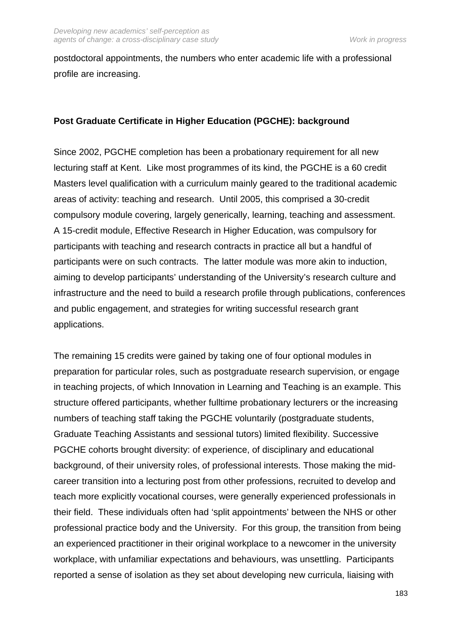postdoctoral appointments, the numbers who enter academic life with a professional profile are increasing.

# **Post Graduate Certificate in Higher Education (PGCHE): background**

Since 2002, PGCHE completion has been a probationary requirement for all new lecturing staff at Kent. Like most programmes of its kind, the PGCHE is a 60 credit Masters level qualification with a curriculum mainly geared to the traditional academic areas of activity: teaching and research. Until 2005, this comprised a 30-credit compulsory module covering, largely generically, learning, teaching and assessment. A 15-credit module, Effective Research in Higher Education, was compulsory for participants with teaching and research contracts in practice all but a handful of participants were on such contracts. The latter module was more akin to induction, aiming to develop participants' understanding of the University's research culture and infrastructure and the need to build a research profile through publications, conferences and public engagement, and strategies for writing successful research grant applications.

The remaining 15 credits were gained by taking one of four optional modules in preparation for particular roles, such as postgraduate research supervision, or engage in teaching projects, of which Innovation in Learning and Teaching is an example. This structure offered participants, whether fulltime probationary lecturers or the increasing numbers of teaching staff taking the PGCHE voluntarily (postgraduate students, Graduate Teaching Assistants and sessional tutors) limited flexibility. Successive PGCHE cohorts brought diversity: of experience, of disciplinary and educational background, of their university roles, of professional interests. Those making the midcareer transition into a lecturing post from other professions, recruited to develop and teach more explicitly vocational courses, were generally experienced professionals in their field. These individuals often had 'split appointments' between the NHS or other professional practice body and the University. For this group, the transition from being an experienced practitioner in their original workplace to a newcomer in the university workplace, with unfamiliar expectations and behaviours, was unsettling. Participants reported a sense of isolation as they set about developing new curricula, liaising with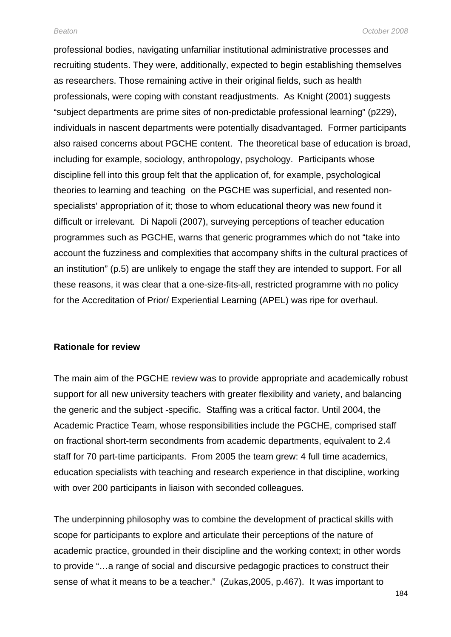professional bodies, navigating unfamiliar institutional administrative processes and recruiting students. They were, additionally, expected to begin establishing themselves as researchers. Those remaining active in their original fields, such as health professionals, were coping with constant readjustments. As Knight (2001) suggests "subject departments are prime sites of non-predictable professional learning" (p229), individuals in nascent departments were potentially disadvantaged. Former participants also raised concerns about PGCHE content. The theoretical base of education is broad, including for example, sociology, anthropology, psychology. Participants whose discipline fell into this group felt that the application of, for example, psychological theories to learning and teaching on the PGCHE was superficial, and resented nonspecialists' appropriation of it; those to whom educational theory was new found it difficult or irrelevant. Di Napoli (2007), surveying perceptions of teacher education programmes such as PGCHE, warns that generic programmes which do not "take into account the fuzziness and complexities that accompany shifts in the cultural practices of an institution" (p.5) are unlikely to engage the staff they are intended to support. For all these reasons, it was clear that a one-size-fits-all, restricted programme with no policy for the Accreditation of Prior/ Experiential Learning (APEL) was ripe for overhaul.

#### **Rationale for review**

The main aim of the PGCHE review was to provide appropriate and academically robust support for all new university teachers with greater flexibility and variety, and balancing the generic and the subject -specific. Staffing was a critical factor. Until 2004, the Academic Practice Team, whose responsibilities include the PGCHE, comprised staff on fractional short-term secondments from academic departments, equivalent to 2.4 staff for 70 part-time participants. From 2005 the team grew: 4 full time academics, education specialists with teaching and research experience in that discipline, working with over 200 participants in liaison with seconded colleagues.

The underpinning philosophy was to combine the development of practical skills with scope for participants to explore and articulate their perceptions of the nature of academic practice, grounded in their discipline and the working context; in other words to provide "…a range of social and discursive pedagogic practices to construct their sense of what it means to be a teacher." (Zukas,2005, p.467). It was important to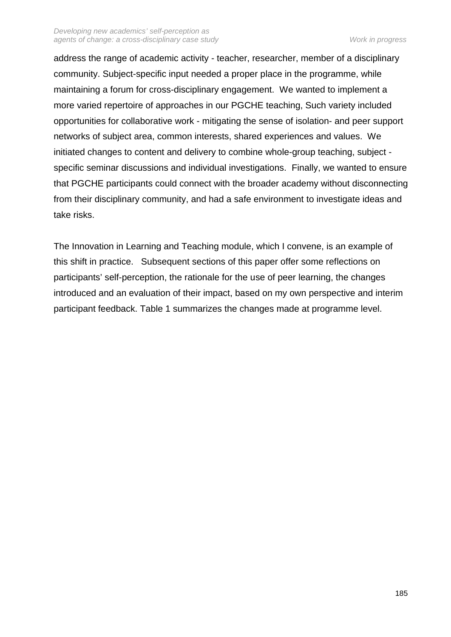address the range of academic activity - teacher, researcher, member of a disciplinary community. Subject-specific input needed a proper place in the programme, while maintaining a forum for cross-disciplinary engagement. We wanted to implement a more varied repertoire of approaches in our PGCHE teaching, Such variety included opportunities for collaborative work - mitigating the sense of isolation- and peer support networks of subject area, common interests, shared experiences and values. We initiated changes to content and delivery to combine whole-group teaching, subject specific seminar discussions and individual investigations. Finally, we wanted to ensure that PGCHE participants could connect with the broader academy without disconnecting from their disciplinary community, and had a safe environment to investigate ideas and take risks.

The Innovation in Learning and Teaching module, which I convene, is an example of this shift in practice. Subsequent sections of this paper offer some reflections on participants' self-perception, the rationale for the use of peer learning, the changes introduced and an evaluation of their impact, based on my own perspective and interim participant feedback. Table 1 summarizes the changes made at programme level.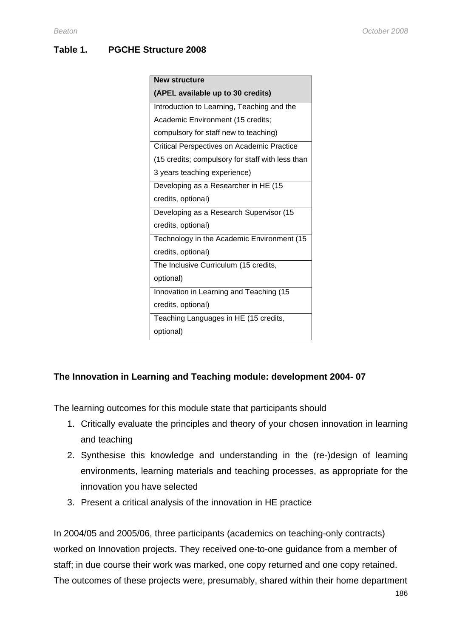# **Table 1. PGCHE Structure 2008**

| <b>New structure</b>                              |
|---------------------------------------------------|
| (APEL available up to 30 credits)                 |
| Introduction to Learning, Teaching and the        |
| Academic Environment (15 credits;                 |
| compulsory for staff new to teaching)             |
| <b>Critical Perspectives on Academic Practice</b> |
| (15 credits; compulsory for staff with less than  |
| 3 years teaching experience)                      |
| Developing as a Researcher in HE (15              |
| credits, optional)                                |
| Developing as a Research Supervisor (15           |
| credits, optional)                                |
| Technology in the Academic Environment (15        |
| credits, optional)                                |
| The Inclusive Curriculum (15 credits,             |
| optional)                                         |
| Innovation in Learning and Teaching (15           |
| credits, optional)                                |
| Teaching Languages in HE (15 credits,             |
| optional)                                         |

# **The Innovation in Learning and Teaching module: development 2004- 07**

The learning outcomes for this module state that participants should

- 1. Critically evaluate the principles and theory of your chosen innovation in learning and teaching
- 2. Synthesise this knowledge and understanding in the (re-)design of learning environments, learning materials and teaching processes, as appropriate for the innovation you have selected
- 3. Present a critical analysis of the innovation in HE practice

In 2004/05 and 2005/06, three participants (academics on teaching-only contracts) worked on Innovation projects. They received one-to-one guidance from a member of staff; in due course their work was marked, one copy returned and one copy retained. The outcomes of these projects were, presumably, shared within their home department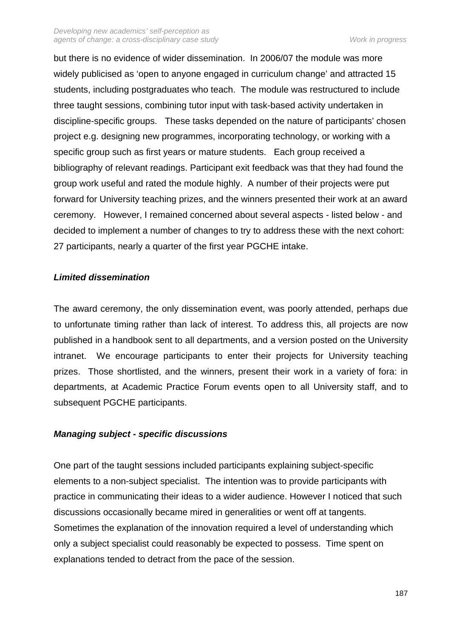but there is no evidence of wider dissemination. In 2006/07 the module was more widely publicised as 'open to anyone engaged in curriculum change' and attracted 15 students, including postgraduates who teach. The module was restructured to include three taught sessions, combining tutor input with task-based activity undertaken in discipline-specific groups. These tasks depended on the nature of participants' chosen project e.g. designing new programmes, incorporating technology, or working with a specific group such as first years or mature students. Each group received a bibliography of relevant readings. Participant exit feedback was that they had found the group work useful and rated the module highly. A number of their projects were put forward for University teaching prizes, and the winners presented their work at an award ceremony. However, I remained concerned about several aspects - listed below - and decided to implement a number of changes to try to address these with the next cohort: 27 participants, nearly a quarter of the first year PGCHE intake.

# **Limited dissemination**

The award ceremony, the only dissemination event, was poorly attended, perhaps due to unfortunate timing rather than lack of interest. To address this, all projects are now published in a handbook sent to all departments, and a version posted on the University intranet. We encourage participants to enter their projects for University teaching prizes. Those shortlisted, and the winners, present their work in a variety of fora: in departments, at Academic Practice Forum events open to all University staff, and to subsequent PGCHE participants.

# **Managing subject - specific discussions**

One part of the taught sessions included participants explaining subject-specific elements to a non-subject specialist. The intention was to provide participants with practice in communicating their ideas to a wider audience. However I noticed that such discussions occasionally became mired in generalities or went off at tangents. Sometimes the explanation of the innovation required a level of understanding which only a subject specialist could reasonably be expected to possess. Time spent on explanations tended to detract from the pace of the session.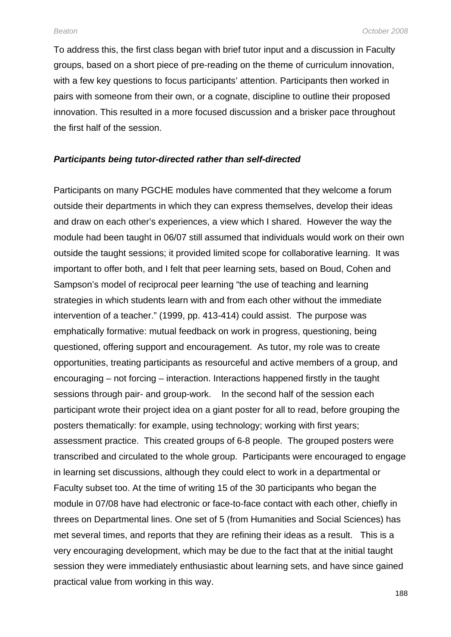To address this, the first class began with brief tutor input and a discussion in Faculty groups, based on a short piece of pre-reading on the theme of curriculum innovation, with a few key questions to focus participants' attention. Participants then worked in pairs with someone from their own, or a cognate, discipline to outline their proposed innovation. This resulted in a more focused discussion and a brisker pace throughout the first half of the session.

#### **Participants being tutor-directed rather than self-directed**

Participants on many PGCHE modules have commented that they welcome a forum outside their departments in which they can express themselves, develop their ideas and draw on each other's experiences, a view which I shared. However the way the module had been taught in 06/07 still assumed that individuals would work on their own outside the taught sessions; it provided limited scope for collaborative learning. It was important to offer both, and I felt that peer learning sets, based on Boud, Cohen and Sampson's model of reciprocal peer learning "the use of teaching and learning strategies in which students learn with and from each other without the immediate intervention of a teacher." (1999, pp. 413-414) could assist. The purpose was emphatically formative: mutual feedback on work in progress, questioning, being questioned, offering support and encouragement. As tutor, my role was to create opportunities, treating participants as resourceful and active members of a group, and encouraging – not forcing – interaction. Interactions happened firstly in the taught sessions through pair- and group-work. In the second half of the session each participant wrote their project idea on a giant poster for all to read, before grouping the posters thematically: for example, using technology; working with first years; assessment practice. This created groups of 6-8 people. The grouped posters were transcribed and circulated to the whole group. Participants were encouraged to engage in learning set discussions, although they could elect to work in a departmental or Faculty subset too. At the time of writing 15 of the 30 participants who began the module in 07/08 have had electronic or face-to-face contact with each other, chiefly in threes on Departmental lines. One set of 5 (from Humanities and Social Sciences) has met several times, and reports that they are refining their ideas as a result. This is a very encouraging development, which may be due to the fact that at the initial taught session they were immediately enthusiastic about learning sets, and have since gained practical value from working in this way.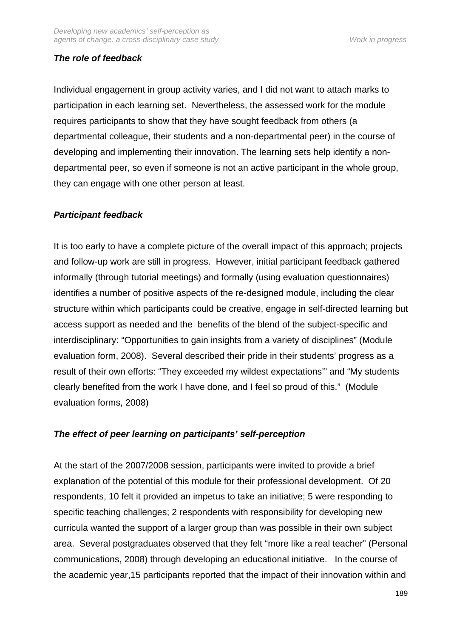# **The role of feedback**

Individual engagement in group activity varies, and I did not want to attach marks to participation in each learning set. Nevertheless, the assessed work for the module requires participants to show that they have sought feedback from others (a departmental colleague, their students and a non-departmental peer) in the course of developing and implementing their innovation. The learning sets help identify a nondepartmental peer, so even if someone is not an active participant in the whole group, they can engage with one other person at least.

# **Participant feedback**

It is too early to have a complete picture of the overall impact of this approach; projects and follow-up work are still in progress. However, initial participant feedback gathered informally (through tutorial meetings) and formally (using evaluation questionnaires) identifies a number of positive aspects of the re-designed module, including the clear structure within which participants could be creative, engage in self-directed learning but access support as needed and the benefits of the blend of the subject-specific and interdisciplinary: "Opportunities to gain insights from a variety of disciplines" (Module evaluation form, 2008). Several described their pride in their students' progress as a result of their own efforts: "They exceeded my wildest expectations'" and "My students clearly benefited from the work I have done, and I feel so proud of this." (Module evaluation forms, 2008)

# **The effect of peer learning on participants' self-perception**

At the start of the 2007/2008 session, participants were invited to provide a brief explanation of the potential of this module for their professional development. Of 20 respondents, 10 felt it provided an impetus to take an initiative; 5 were responding to specific teaching challenges; 2 respondents with responsibility for developing new curricula wanted the support of a larger group than was possible in their own subject area. Several postgraduates observed that they felt "more like a real teacher" (Personal communications, 2008) through developing an educational initiative. In the course of the academic year,15 participants reported that the impact of their innovation within and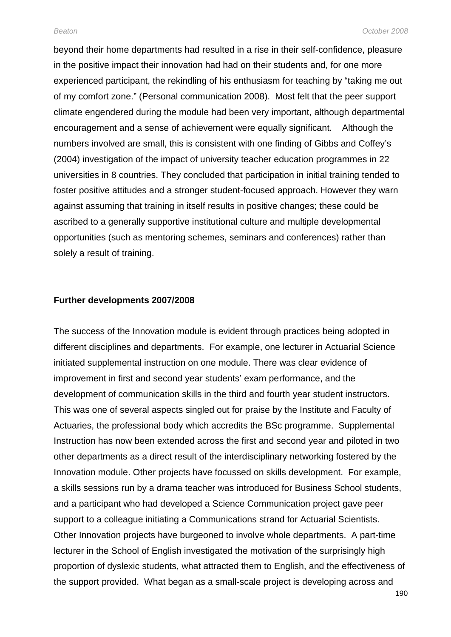beyond their home departments had resulted in a rise in their self-confidence, pleasure in the positive impact their innovation had had on their students and, for one more experienced participant, the rekindling of his enthusiasm for teaching by "taking me out of my comfort zone." (Personal communication 2008). Most felt that the peer support climate engendered during the module had been very important, although departmental encouragement and a sense of achievement were equally significant. Although the numbers involved are small, this is consistent with one finding of Gibbs and Coffey's (2004) investigation of the impact of university teacher education programmes in 22 universities in 8 countries. They concluded that participation in initial training tended to foster positive attitudes and a stronger student-focused approach. However they warn against assuming that training in itself results in positive changes; these could be ascribed to a generally supportive institutional culture and multiple developmental opportunities (such as mentoring schemes, seminars and conferences) rather than solely a result of training.

#### **Further developments 2007/2008**

The success of the Innovation module is evident through practices being adopted in different disciplines and departments. For example, one lecturer in Actuarial Science initiated supplemental instruction on one module. There was clear evidence of improvement in first and second year students' exam performance, and the development of communication skills in the third and fourth year student instructors. This was one of several aspects singled out for praise by the Institute and Faculty of Actuaries, the professional body which accredits the BSc programme. Supplemental Instruction has now been extended across the first and second year and piloted in two other departments as a direct result of the interdisciplinary networking fostered by the Innovation module. Other projects have focussed on skills development. For example, a skills sessions run by a drama teacher was introduced for Business School students, and a participant who had developed a Science Communication project gave peer support to a colleague initiating a Communications strand for Actuarial Scientists. Other Innovation projects have burgeoned to involve whole departments. A part-time lecturer in the School of English investigated the motivation of the surprisingly high proportion of dyslexic students, what attracted them to English, and the effectiveness of the support provided. What began as a small-scale project is developing across and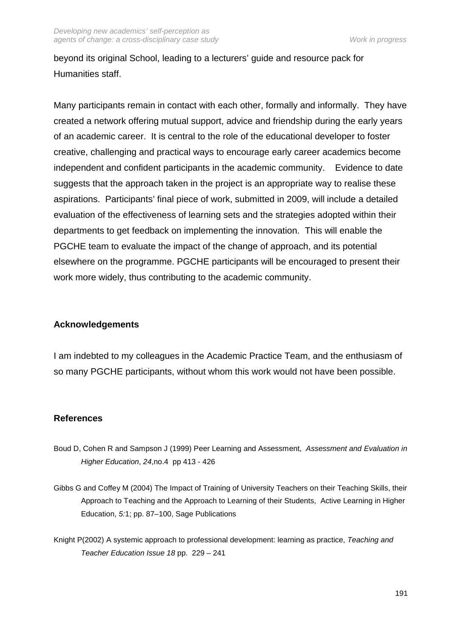beyond its original School, leading to a lecturers' guide and resource pack for Humanities staff.

Many participants remain in contact with each other, formally and informally. They have created a network offering mutual support, advice and friendship during the early years of an academic career. It is central to the role of the educational developer to foster creative, challenging and practical ways to encourage early career academics become independent and confident participants in the academic community. Evidence to date suggests that the approach taken in the project is an appropriate way to realise these aspirations. Participants' final piece of work, submitted in 2009, will include a detailed evaluation of the effectiveness of learning sets and the strategies adopted within their departments to get feedback on implementing the innovation. This will enable the PGCHE team to evaluate the impact of the change of approach, and its potential elsewhere on the programme. PGCHE participants will be encouraged to present their work more widely, thus contributing to the academic community.

# **Acknowledgements**

I am indebted to my colleagues in the Academic Practice Team, and the enthusiasm of so many PGCHE participants, without whom this work would not have been possible.

# **References**

- Boud D, Cohen R and Sampson J (1999) Peer Learning and Assessment, Assessment and Evaluation in Higher Education, 24,no.4 pp 413 - 426
- Gibbs G and Coffey M (2004) The Impact of Training of University Teachers on their Teaching Skills, their Approach to Teaching and the Approach to Learning of their Students, Active Learning in Higher Education, 5:1; pp. 87–100, Sage Publications
- Knight P(2002) A systemic approach to professional development: learning as practice, Teaching and Teacher Education Issue 18 pp. 229 – 241